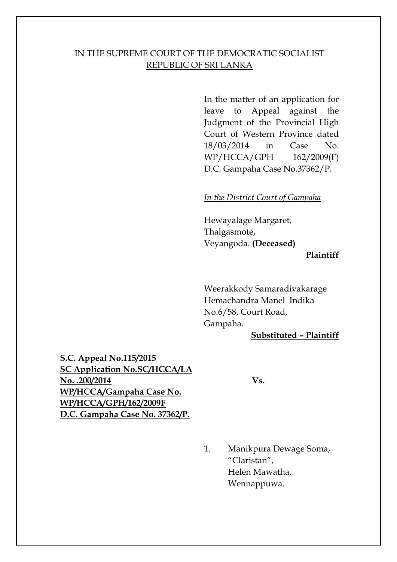### IN THE SUPREME COURT OF THE DEMOCRATIC SOCIALIST REPUBLIC OF SRI LANKA

In the matter of an application for leave to Appeal against the Judgment of the Provincial High Court of Western Province dated 18/03/2014 in Case No. WP/HCCA/GPH 162/2009(F) D.C. Gampaha Case No.37362/P.

#### *In the District Court of Gampaha*

Hewayalage Margaret, Thalgasmote, Veyangoda. **(Deceased)**

#### **Plaintiff**

Weerakkody Samaradivakarage Hemachandra Manel Indika No.6/58, Court Road, Gampaha.

#### **Substituted – Plaintiff**

**S.C. Appeal No.115/2015 SC Application No.SC/HCCA/LA No. .200/2014 Vs. WP/HCCA/Gampaha Case No. WP/HCCA/GPH/162/2009F D.C. Gampaha Case No. 37362/P.**

1. Manikpura Dewage Soma, "Claristan", Helen Mawatha, Wennappuwa.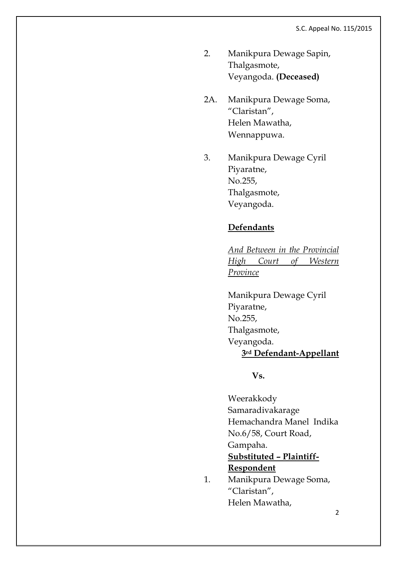- 2. Manikpura Dewage Sapin, Thalgasmote, Veyangoda. **(Deceased)**
- 2A. Manikpura Dewage Soma, "Claristan", Helen Mawatha, Wennappuwa.
- 3. Manikpura Dewage Cyril Piyaratne, No.255, Thalgasmote, Veyangoda.

## **Defendants**

*And Between in the Provincial High Court of Western Province*

Manikpura Dewage Cyril Piyaratne, No.255, Thalgasmote, Veyangoda. **3rd Defendant-Appellant**

### **Vs.**

Weerakkody Samaradivakarage Hemachandra Manel Indika No.6/58, Court Road, Gampaha. **Substituted – Plaintiff-Respondent**

1. Manikpura Dewage Soma, "Claristan", Helen Mawatha,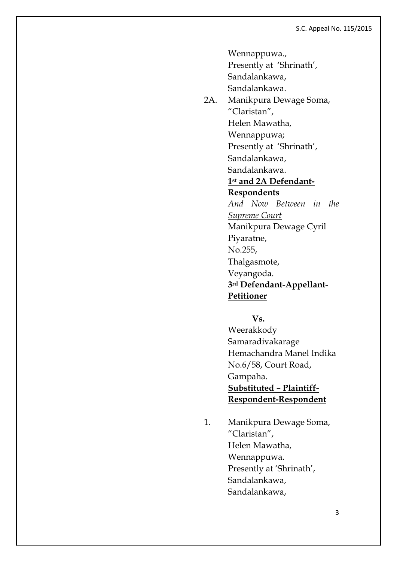Wennappuwa., Presently at 'Shrinath', Sandalankawa, Sandalankawa. 2A. Manikpura Dewage Soma, "Claristan", Helen Mawatha, Wennappuwa; Presently at 'Shrinath', Sandalankawa, Sandalankawa. **1st and 2A Defendant-Respondents** *And Now Between in the Supreme Court* Manikpura Dewage Cyril Piyaratne, No.255, Thalgasmote, Veyangoda. **3rd Defendant-Appellant-Petitioner**

> **Vs.** Weerakkody Samaradivakarage Hemachandra Manel Indika No.6/58, Court Road, Gampaha. **Substituted – Plaintiff-Respondent-Respondent**

1. Manikpura Dewage Soma, "Claristan", Helen Mawatha, Wennappuwa. Presently at 'Shrinath', Sandalankawa, Sandalankawa,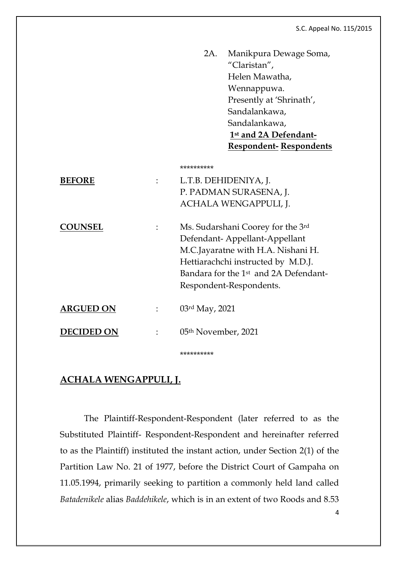| <b>Respondent-Respondents</b> |
|-------------------------------|
|                               |

|                  | **********                                                                                                                                                                                                                     |
|------------------|--------------------------------------------------------------------------------------------------------------------------------------------------------------------------------------------------------------------------------|
| <b>BEFORE</b>    | L.T.B. DEHIDENIYA, J.<br>P. PADMAN SURASENA, J.<br>ACHALA WENGAPPULI, J.                                                                                                                                                       |
| <b>COUNSEL</b>   | Ms. Sudarshani Coorey for the 3rd<br>Defendant-Appellant-Appellant<br>M.C.Jayaratne with H.A. Nishani H.<br>Hettiarachchi instructed by M.D.J.<br>Bandara for the 1 <sup>st</sup> and 2A Defendant-<br>Respondent-Respondents. |
| <b>ARGUED ON</b> | 03rd May, 2021                                                                                                                                                                                                                 |
| DECIDED ON       | 05 <sup>th</sup> November, 2021                                                                                                                                                                                                |
|                  |                                                                                                                                                                                                                                |

## **ACHALA WENGAPPULI, J.**

The Plaintiff-Respondent-Respondent (later referred to as the Substituted Plaintiff- Respondent-Respondent and hereinafter referred to as the Plaintiff) instituted the instant action, under Section 2(1) of the Partition Law No. 21 of 1977, before the District Court of Gampaha on 11.05.1994, primarily seeking to partition a commonly held land called *Batadenikele* alias *Baddehikele*, which is in an extent of two Roods and 8.53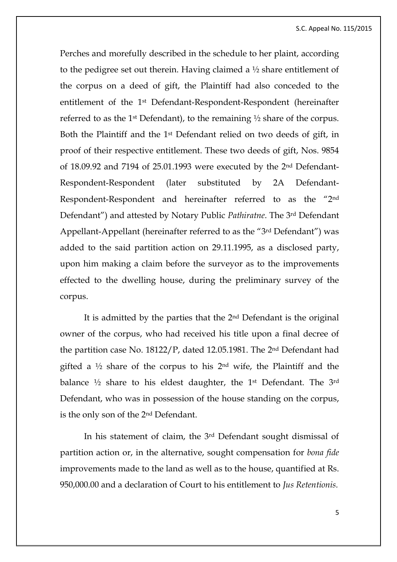Perches and morefully described in the schedule to her plaint, according to the pedigree set out therein. Having claimed a ½ share entitlement of the corpus on a deed of gift, the Plaintiff had also conceded to the entitlement of the 1st Defendant-Respondent-Respondent (hereinafter referred to as the 1<sup>st</sup> Defendant), to the remaining  $\frac{1}{2}$  share of the corpus. Both the Plaintiff and the 1st Defendant relied on two deeds of gift, in proof of their respective entitlement. These two deeds of gift, Nos. 9854 of 18.09.92 and 7194 of 25.01.1993 were executed by the 2nd Defendant-Respondent-Respondent (later substituted by 2A Defendant-Respondent-Respondent and hereinafter referred to as the "2nd Defendant") and attested by Notary Public *Pathiratne*. The 3rd Defendant Appellant-Appellant (hereinafter referred to as the "3rd Defendant") was added to the said partition action on 29.11.1995, as a disclosed party, upon him making a claim before the surveyor as to the improvements effected to the dwelling house, during the preliminary survey of the corpus.

It is admitted by the parties that the 2nd Defendant is the original owner of the corpus, who had received his title upon a final decree of the partition case No. 18122/P, dated 12.05.1981. The 2nd Defendant had gifted a  $\frac{1}{2}$  share of the corpus to his  $2^{nd}$  wife, the Plaintiff and the balance <sup>1/2</sup> share to his eldest daughter, the 1<sup>st</sup> Defendant. The 3<sup>rd</sup> Defendant, who was in possession of the house standing on the corpus, is the only son of the 2nd Defendant.

In his statement of claim, the 3rd Defendant sought dismissal of partition action or, in the alternative, sought compensation for *bona fide* improvements made to the land as well as to the house, quantified at Rs. 950,000.00 and a declaration of Court to his entitlement to *Jus Retentionis.*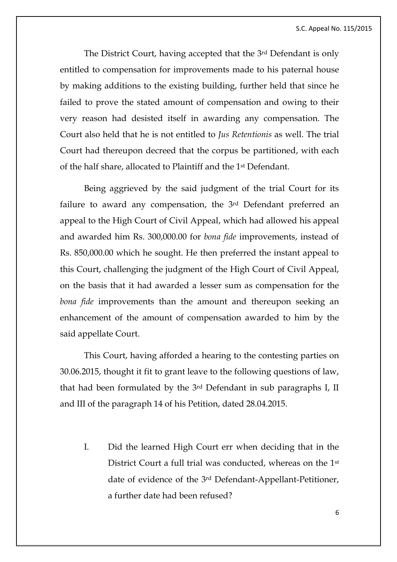The District Court, having accepted that the 3rd Defendant is only entitled to compensation for improvements made to his paternal house by making additions to the existing building, further held that since he failed to prove the stated amount of compensation and owing to their very reason had desisted itself in awarding any compensation. The Court also held that he is not entitled to *Jus Retentionis* as well. The trial Court had thereupon decreed that the corpus be partitioned, with each of the half share, allocated to Plaintiff and the 1st Defendant.

Being aggrieved by the said judgment of the trial Court for its failure to award any compensation, the 3rd Defendant preferred an appeal to the High Court of Civil Appeal, which had allowed his appeal and awarded him Rs. 300,000.00 for *bona fide* improvements, instead of Rs. 850,000.00 which he sought. He then preferred the instant appeal to this Court, challenging the judgment of the High Court of Civil Appeal, on the basis that it had awarded a lesser sum as compensation for the *bona fide* improvements than the amount and thereupon seeking an enhancement of the amount of compensation awarded to him by the said appellate Court.

This Court, having afforded a hearing to the contesting parties on 30.06.2015, thought it fit to grant leave to the following questions of law, that had been formulated by the 3rd Defendant in sub paragraphs I, II and III of the paragraph 14 of his Petition, dated 28.04.2015.

I. Did the learned High Court err when deciding that in the District Court a full trial was conducted, whereas on the 1st date of evidence of the 3rd Defendant-Appellant-Petitioner, a further date had been refused?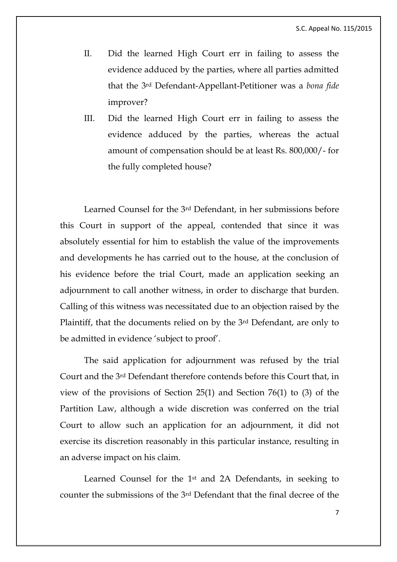- II. Did the learned High Court err in failing to assess the evidence adduced by the parties, where all parties admitted that the 3rd Defendant-Appellant-Petitioner was a *bona fide* improver?
- III. Did the learned High Court err in failing to assess the evidence adduced by the parties, whereas the actual amount of compensation should be at least Rs. 800,000/- for the fully completed house?

Learned Counsel for the 3rd Defendant, in her submissions before this Court in support of the appeal, contended that since it was absolutely essential for him to establish the value of the improvements and developments he has carried out to the house, at the conclusion of his evidence before the trial Court, made an application seeking an adjournment to call another witness, in order to discharge that burden. Calling of this witness was necessitated due to an objection raised by the Plaintiff, that the documents relied on by the 3rd Defendant, are only to be admitted in evidence 'subject to proof'.

The said application for adjournment was refused by the trial Court and the 3rd Defendant therefore contends before this Court that, in view of the provisions of Section 25(1) and Section 76(1) to (3) of the Partition Law, although a wide discretion was conferred on the trial Court to allow such an application for an adjournment, it did not exercise its discretion reasonably in this particular instance, resulting in an adverse impact on his claim.

Learned Counsel for the 1st and 2A Defendants, in seeking to counter the submissions of the 3rd Defendant that the final decree of the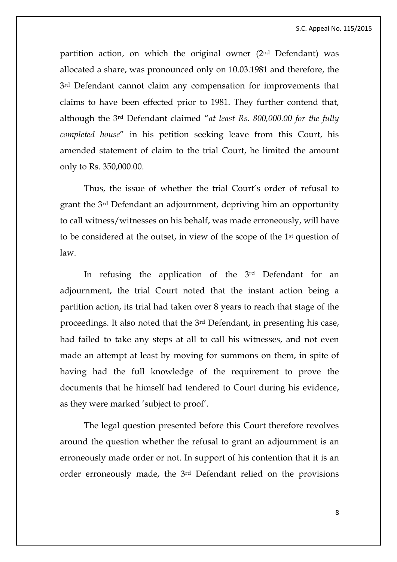S.C. Appeal No. 115/2015

partition action, on which the original owner (2nd Defendant) was allocated a share, was pronounced only on 10.03.1981 and therefore, the 3rd Defendant cannot claim any compensation for improvements that claims to have been effected prior to 1981. They further contend that, although the 3rd Defendant claimed "*at least Rs. 800,000.00 for the fully completed house*" in his petition seeking leave from this Court, his amended statement of claim to the trial Court, he limited the amount only to Rs. 350,000.00.

Thus, the issue of whether the trial Court's order of refusal to grant the 3rd Defendant an adjournment, depriving him an opportunity to call witness/witnesses on his behalf, was made erroneously, will have to be considered at the outset, in view of the scope of the 1st question of law.

In refusing the application of the 3rd Defendant for an adjournment, the trial Court noted that the instant action being a partition action, its trial had taken over 8 years to reach that stage of the proceedings. It also noted that the 3rd Defendant, in presenting his case, had failed to take any steps at all to call his witnesses, and not even made an attempt at least by moving for summons on them, in spite of having had the full knowledge of the requirement to prove the documents that he himself had tendered to Court during his evidence, as they were marked 'subject to proof'.

The legal question presented before this Court therefore revolves around the question whether the refusal to grant an adjournment is an erroneously made order or not. In support of his contention that it is an order erroneously made, the 3rd Defendant relied on the provisions

8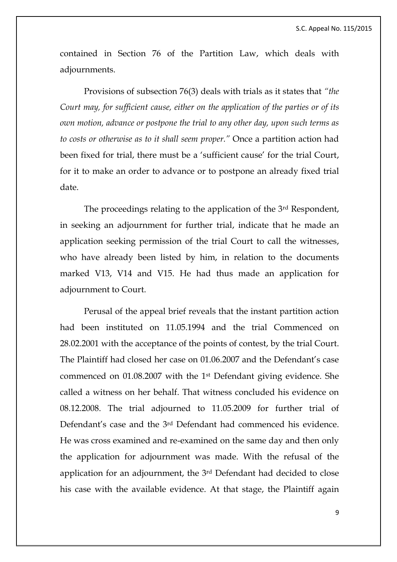contained in Section 76 of the Partition Law, which deals with adjournments.

Provisions of subsection 76(3) deals with trials as it states that *"the Court may, for sufficient cause, either on the application of the parties or of its own motion, advance or postpone the trial to any other day, upon such terms as to costs or otherwise as to it shall seem proper."* Once a partition action had been fixed for trial, there must be a 'sufficient cause' for the trial Court, for it to make an order to advance or to postpone an already fixed trial date.

The proceedings relating to the application of the 3rd Respondent, in seeking an adjournment for further trial, indicate that he made an application seeking permission of the trial Court to call the witnesses, who have already been listed by him, in relation to the documents marked V13, V14 and V15. He had thus made an application for adjournment to Court.

Perusal of the appeal brief reveals that the instant partition action had been instituted on 11.05.1994 and the trial Commenced on 28.02.2001 with the acceptance of the points of contest, by the trial Court. The Plaintiff had closed her case on 01.06.2007 and the Defendant's case commenced on 01.08.2007 with the 1st Defendant giving evidence. She called a witness on her behalf. That witness concluded his evidence on 08.12.2008. The trial adjourned to 11.05.2009 for further trial of Defendant's case and the 3rd Defendant had commenced his evidence. He was cross examined and re-examined on the same day and then only the application for adjournment was made. With the refusal of the application for an adjournment, the 3rd Defendant had decided to close his case with the available evidence. At that stage, the Plaintiff again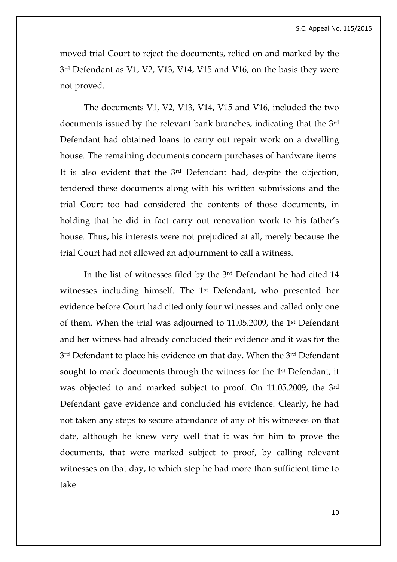moved trial Court to reject the documents, relied on and marked by the 3rd Defendant as V1, V2, V13, V14, V15 and V16, on the basis they were not proved.

The documents V1, V2, V13, V14, V15 and V16, included the two documents issued by the relevant bank branches, indicating that the 3rd Defendant had obtained loans to carry out repair work on a dwelling house. The remaining documents concern purchases of hardware items. It is also evident that the 3rd Defendant had, despite the objection, tendered these documents along with his written submissions and the trial Court too had considered the contents of those documents, in holding that he did in fact carry out renovation work to his father's house. Thus, his interests were not prejudiced at all, merely because the trial Court had not allowed an adjournment to call a witness.

In the list of witnesses filed by the 3rd Defendant he had cited 14 witnesses including himself. The 1st Defendant, who presented her evidence before Court had cited only four witnesses and called only one of them. When the trial was adjourned to 11.05.2009, the 1st Defendant and her witness had already concluded their evidence and it was for the 3rd Defendant to place his evidence on that day. When the 3rd Defendant sought to mark documents through the witness for the 1<sup>st</sup> Defendant, it was objected to and marked subject to proof. On 11.05.2009, the 3rd Defendant gave evidence and concluded his evidence. Clearly, he had not taken any steps to secure attendance of any of his witnesses on that date, although he knew very well that it was for him to prove the documents, that were marked subject to proof, by calling relevant witnesses on that day, to which step he had more than sufficient time to take.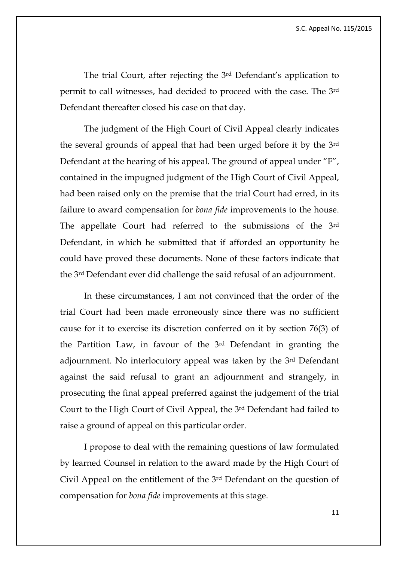The trial Court, after rejecting the 3rd Defendant's application to permit to call witnesses, had decided to proceed with the case. The 3rd Defendant thereafter closed his case on that day.

The judgment of the High Court of Civil Appeal clearly indicates the several grounds of appeal that had been urged before it by the 3rd Defendant at the hearing of his appeal. The ground of appeal under "F", contained in the impugned judgment of the High Court of Civil Appeal, had been raised only on the premise that the trial Court had erred, in its failure to award compensation for *bona fide* improvements to the house. The appellate Court had referred to the submissions of the 3rd Defendant, in which he submitted that if afforded an opportunity he could have proved these documents. None of these factors indicate that the 3rd Defendant ever did challenge the said refusal of an adjournment.

In these circumstances, I am not convinced that the order of the trial Court had been made erroneously since there was no sufficient cause for it to exercise its discretion conferred on it by section 76(3) of the Partition Law, in favour of the 3rd Defendant in granting the adjournment. No interlocutory appeal was taken by the 3rd Defendant against the said refusal to grant an adjournment and strangely, in prosecuting the final appeal preferred against the judgement of the trial Court to the High Court of Civil Appeal, the 3rd Defendant had failed to raise a ground of appeal on this particular order.

I propose to deal with the remaining questions of law formulated by learned Counsel in relation to the award made by the High Court of Civil Appeal on the entitlement of the 3rd Defendant on the question of compensation for *bona fide* improvements at this stage.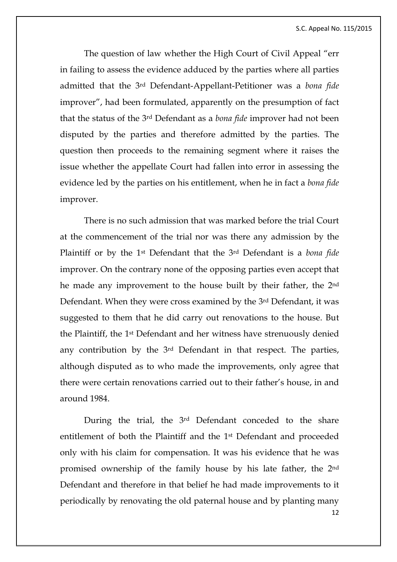The question of law whether the High Court of Civil Appeal "err in failing to assess the evidence adduced by the parties where all parties admitted that the 3rd Defendant-Appellant-Petitioner was a *bona fide* improver", had been formulated, apparently on the presumption of fact that the status of the 3rd Defendant as a *bona fide* improver had not been disputed by the parties and therefore admitted by the parties. The question then proceeds to the remaining segment where it raises the issue whether the appellate Court had fallen into error in assessing the evidence led by the parties on his entitlement, when he in fact a *bona fide* improver.

There is no such admission that was marked before the trial Court at the commencement of the trial nor was there any admission by the Plaintiff or by the 1st Defendant that the 3rd Defendant is a *bona fide*  improver. On the contrary none of the opposing parties even accept that he made any improvement to the house built by their father, the 2nd Defendant. When they were cross examined by the 3rd Defendant, it was suggested to them that he did carry out renovations to the house. But the Plaintiff, the 1st Defendant and her witness have strenuously denied any contribution by the 3rd Defendant in that respect. The parties, although disputed as to who made the improvements, only agree that there were certain renovations carried out to their father's house, in and around 1984.

12 During the trial, the 3rd Defendant conceded to the share entitlement of both the Plaintiff and the 1st Defendant and proceeded only with his claim for compensation. It was his evidence that he was promised ownership of the family house by his late father, the 2nd Defendant and therefore in that belief he had made improvements to it periodically by renovating the old paternal house and by planting many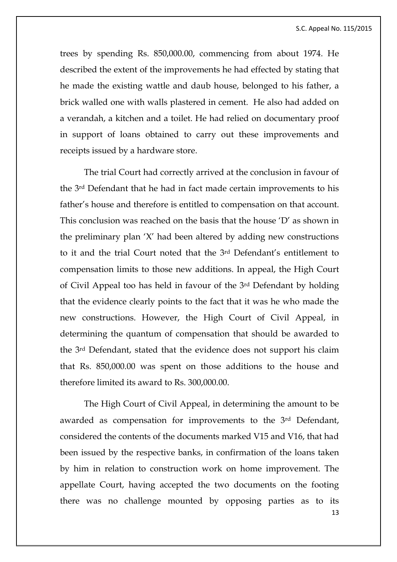trees by spending Rs. 850,000.00, commencing from about 1974. He described the extent of the improvements he had effected by stating that he made the existing wattle and daub house, belonged to his father, a brick walled one with walls plastered in cement. He also had added on a verandah, a kitchen and a toilet. He had relied on documentary proof in support of loans obtained to carry out these improvements and receipts issued by a hardware store.

The trial Court had correctly arrived at the conclusion in favour of the 3rd Defendant that he had in fact made certain improvements to his father's house and therefore is entitled to compensation on that account. This conclusion was reached on the basis that the house 'D' as shown in the preliminary plan 'X' had been altered by adding new constructions to it and the trial Court noted that the 3rd Defendant's entitlement to compensation limits to those new additions. In appeal, the High Court of Civil Appeal too has held in favour of the 3rd Defendant by holding that the evidence clearly points to the fact that it was he who made the new constructions. However, the High Court of Civil Appeal, in determining the quantum of compensation that should be awarded to the 3rd Defendant, stated that the evidence does not support his claim that Rs. 850,000.00 was spent on those additions to the house and therefore limited its award to Rs. 300,000.00.

13 The High Court of Civil Appeal, in determining the amount to be awarded as compensation for improvements to the 3rd Defendant, considered the contents of the documents marked V15 and V16, that had been issued by the respective banks, in confirmation of the loans taken by him in relation to construction work on home improvement. The appellate Court, having accepted the two documents on the footing there was no challenge mounted by opposing parties as to its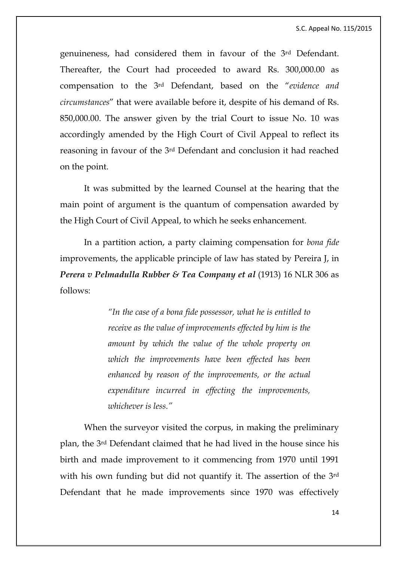S.C. Appeal No. 115/2015

genuineness, had considered them in favour of the 3rd Defendant. Thereafter, the Court had proceeded to award Rs. 300,000.00 as compensation to the 3rd Defendant, based on the "*evidence and circumstances*" that were available before it, despite of his demand of Rs. 850,000.00. The answer given by the trial Court to issue No. 10 was accordingly amended by the High Court of Civil Appeal to reflect its reasoning in favour of the 3rd Defendant and conclusion it had reached on the point.

It was submitted by the learned Counsel at the hearing that the main point of argument is the quantum of compensation awarded by the High Court of Civil Appeal, to which he seeks enhancement.

In a partition action, a party claiming compensation for *bona fide*  improvements, the applicable principle of law has stated by Pereira J, in *Perera v Pelmadulla Rubber & Tea Company et al* (1913) 16 NLR 306 as follows:

> *"In the case of a bona fide possessor, what he is entitled to receive as the value of improvements effected by him is the amount by which the value of the whole property on which the improvements have been effected has been enhanced by reason of the improvements, or the actual expenditure incurred in effecting the improvements, whichever is less."*

When the surveyor visited the corpus, in making the preliminary plan, the 3rd Defendant claimed that he had lived in the house since his birth and made improvement to it commencing from 1970 until 1991 with his own funding but did not quantify it. The assertion of the 3rd Defendant that he made improvements since 1970 was effectively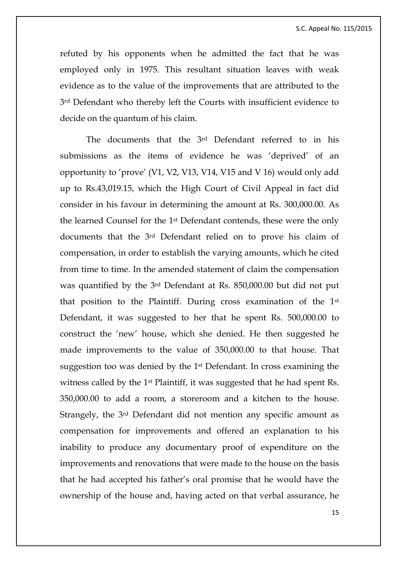refuted by his opponents when he admitted the fact that he was employed only in 1975. This resultant situation leaves with weak evidence as to the value of the improvements that are attributed to the 3<sup>rd</sup> Defendant who thereby left the Courts with insufficient evidence to decide on the quantum of his claim.

The documents that the 3rd Defendant referred to in his submissions as the items of evidence he was 'deprived' of an opportunity to 'prove' (V1, V2, V13, V14, V15 and V 16) would only add up to Rs.43,019.15, which the High Court of Civil Appeal in fact did consider in his favour in determining the amount at Rs. 300,000.00. As the learned Counsel for the 1st Defendant contends, these were the only documents that the 3rd Defendant relied on to prove his claim of compensation, in order to establish the varying amounts, which he cited from time to time. In the amended statement of claim the compensation was quantified by the 3rd Defendant at Rs. 850,000.00 but did not put that position to the Plaintiff. During cross examination of the 1st Defendant, it was suggested to her that he spent Rs. 500,000.00 to construct the 'new' house, which she denied. He then suggested he made improvements to the value of 350,000.00 to that house. That suggestion too was denied by the 1st Defendant. In cross examining the witness called by the 1st Plaintiff, it was suggested that he had spent Rs. 350,000.00 to add a room, a storeroom and a kitchen to the house. Strangely, the 3rd Defendant did not mention any specific amount as compensation for improvements and offered an explanation to his inability to produce any documentary proof of expenditure on the improvements and renovations that were made to the house on the basis that he had accepted his father's oral promise that he would have the ownership of the house and, having acted on that verbal assurance, he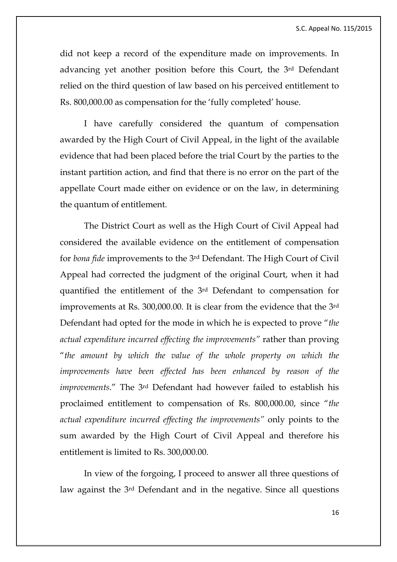did not keep a record of the expenditure made on improvements. In advancing yet another position before this Court, the 3rd Defendant relied on the third question of law based on his perceived entitlement to Rs. 800,000.00 as compensation for the 'fully completed' house.

I have carefully considered the quantum of compensation awarded by the High Court of Civil Appeal, in the light of the available evidence that had been placed before the trial Court by the parties to the instant partition action, and find that there is no error on the part of the appellate Court made either on evidence or on the law, in determining the quantum of entitlement.

The District Court as well as the High Court of Civil Appeal had considered the available evidence on the entitlement of compensation for *bona fide* improvements to the 3rd Defendant. The High Court of Civil Appeal had corrected the judgment of the original Court, when it had quantified the entitlement of the 3rd Defendant to compensation for improvements at Rs. 300,000.00. It is clear from the evidence that the 3rd Defendant had opted for the mode in which he is expected to prove "*the actual expenditure incurred effecting the improvements"* rather than proving "*the amount by which the value of the whole property on which the improvements have been effected has been enhanced by reason of the improvements*." The 3rd Defendant had however failed to establish his proclaimed entitlement to compensation of Rs. 800,000.00, since "*the actual expenditure incurred effecting the improvements"* only points to the sum awarded by the High Court of Civil Appeal and therefore his entitlement is limited to Rs. 300,000.00.

In view of the forgoing, I proceed to answer all three questions of law against the 3rd Defendant and in the negative. Since all questions